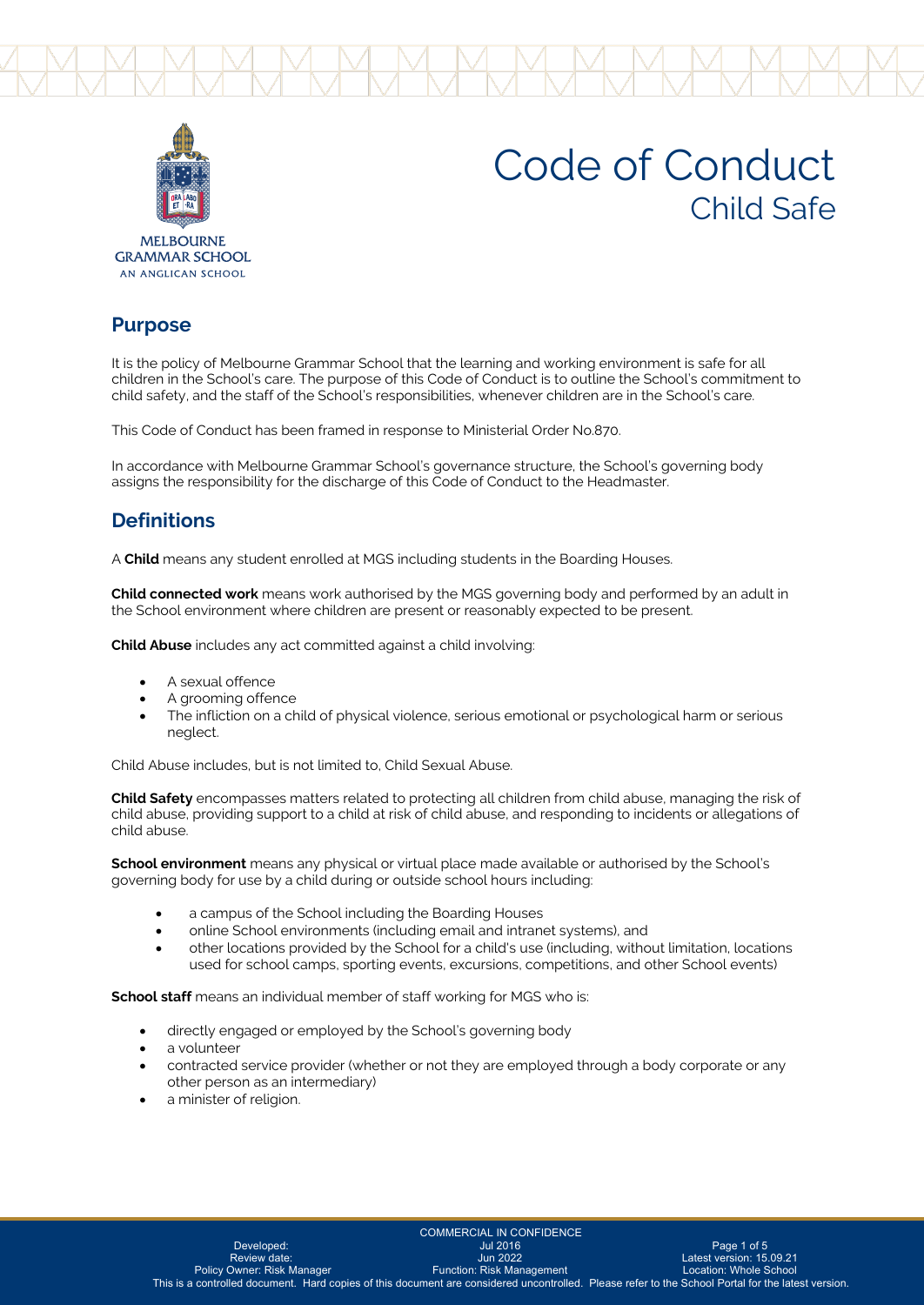



# Code of Conduct Child Safe

**MEI BOLIRNE GRAMMAR SCHOOL** AN ANGLICAN SCHOOL

#### **Purpose**

It is the policy of Melbourne Grammar School that the learning and working environment is safe for all children in the School's care. The purpose of this Code of Conduct is to outline the School's commitment to child safety, and the staff of the School's responsibilities, whenever children are in the School's care.

This Code of Conduct has been framed in response to Ministerial Order No.870.

In accordance with Melbourne Grammar School's governance structure, the School's governing body assigns the responsibility for the discharge of this Code of Conduct to the Headmaster.

## **Definitions**

A **Child** means any student enrolled at MGS including students in the Boarding Houses.

**Child connected work** means work authorised by the MGS governing body and performed by an adult in the School environment where children are present or reasonably expected to be present.

**Child Abuse** includes any act committed against a child involving:

- A sexual offence
- A grooming offence
- The infliction on a child of physical violence, serious emotional or psychological harm or serious neglect.

Child Abuse includes, but is not limited to, Child Sexual Abuse.

**Child Safety** encompasses matters related to protecting all children from child abuse, managing the risk of child abuse, providing support to a child at risk of child abuse, and responding to incidents or allegations of child abuse.

**School environment** means any physical or virtual place made available or authorised by the School's governing body for use by a child during or outside school hours including:

- a campus of the School including the Boarding Houses
- online School environments (including email and intranet systems), and
- other locations provided by the School for a child's use (including, without limitation, locations used for school camps, sporting events, excursions, competitions, and other School events)

**School staff** means an individual member of staff working for MGS who is:

- directly engaged or employed by the School's governing body
- a volunteer
- contracted service provider (whether or not they are employed through a body corporate or any other person as an intermediary)
- a minister of religion.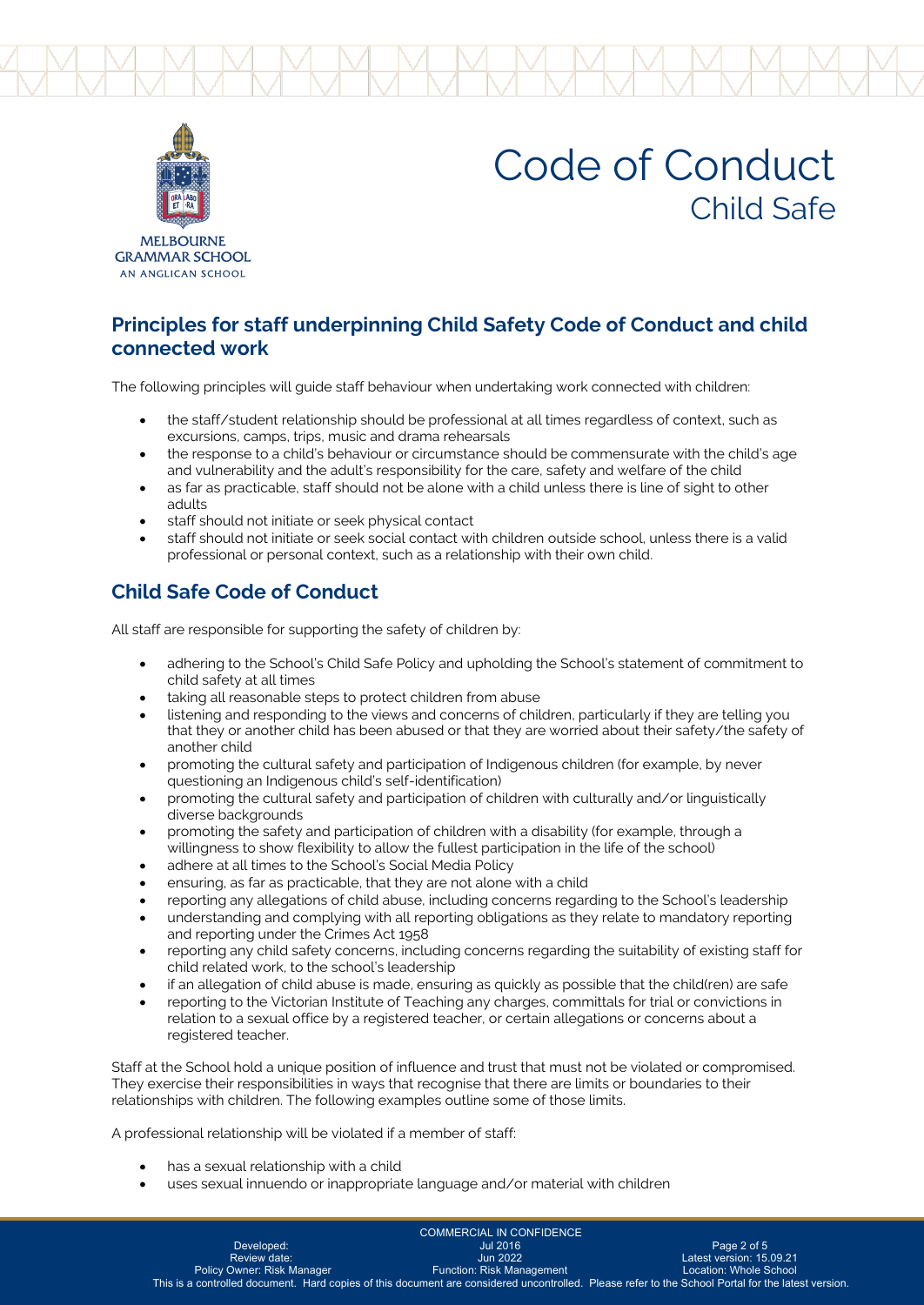



# Code of Conduct Child Safe

**MEI BOLIRNE GRAMMAR SCHOOL** AN ANGLICAN SCHOOL

#### **Principles for staff underpinning Child Safety Code of Conduct and child connected work**

The following principles will guide staff behaviour when undertaking work connected with children:

- the staff/student relationship should be professional at all times regardless of context, such as excursions, camps, trips, music and drama rehearsals
- the response to a child's behaviour or circumstance should be commensurate with the child's age and vulnerability and the adult's responsibility for the care, safety and welfare of the child
- as far as practicable, staff should not be alone with a child unless there is line of sight to other adults
- staff should not initiate or seek physical contact
- staff should not initiate or seek social contact with children outside school, unless there is a valid professional or personal context, such as a relationship with their own child.

## **Child Safe Code of Conduct**

All staff are responsible for supporting the safety of children by:

- adhering to the School's Child Safe Policy and upholding the School's statement of commitment to child safety at all times
- taking all reasonable steps to protect children from abuse
- listening and responding to the views and concerns of children, particularly if they are telling you that they or another child has been abused or that they are worried about their safety/the safety of another child
- promoting the cultural safety and participation of Indigenous children (for example, by never questioning an Indigenous child's self-identification)
- promoting the cultural safety and participation of children with culturally and/or linguistically diverse backgrounds
- promoting the safety and participation of children with a disability (for example, through a willingness to show flexibility to allow the fullest participation in the life of the school)
- adhere at all times to the School's Social Media Policy
- ensuring, as far as practicable, that they are not alone with a child
- reporting any allegations of child abuse, including concerns regarding to the School's leadership
- understanding and complying with all reporting obligations as they relate to mandatory reporting and reporting under the Crimes Act 1958
- reporting any child safety concerns, including concerns regarding the suitability of existing staff for child related work, to the school's leadership
- if an allegation of child abuse is made, ensuring as quickly as possible that the child(ren) are safe
- reporting to the Victorian Institute of Teaching any charges, committals for trial or convictions in relation to a sexual office by a registered teacher, or certain allegations or concerns about a registered teacher.

Staff at the School hold a unique position of influence and trust that must not be violated or compromised. They exercise their responsibilities in ways that recognise that there are limits or boundaries to their relationships with children. The following examples outline some of those limits.

A professional relationship will be violated if a member of staff:

- has a sexual relationship with a child
- uses sexual innuendo or inappropriate language and/or material with children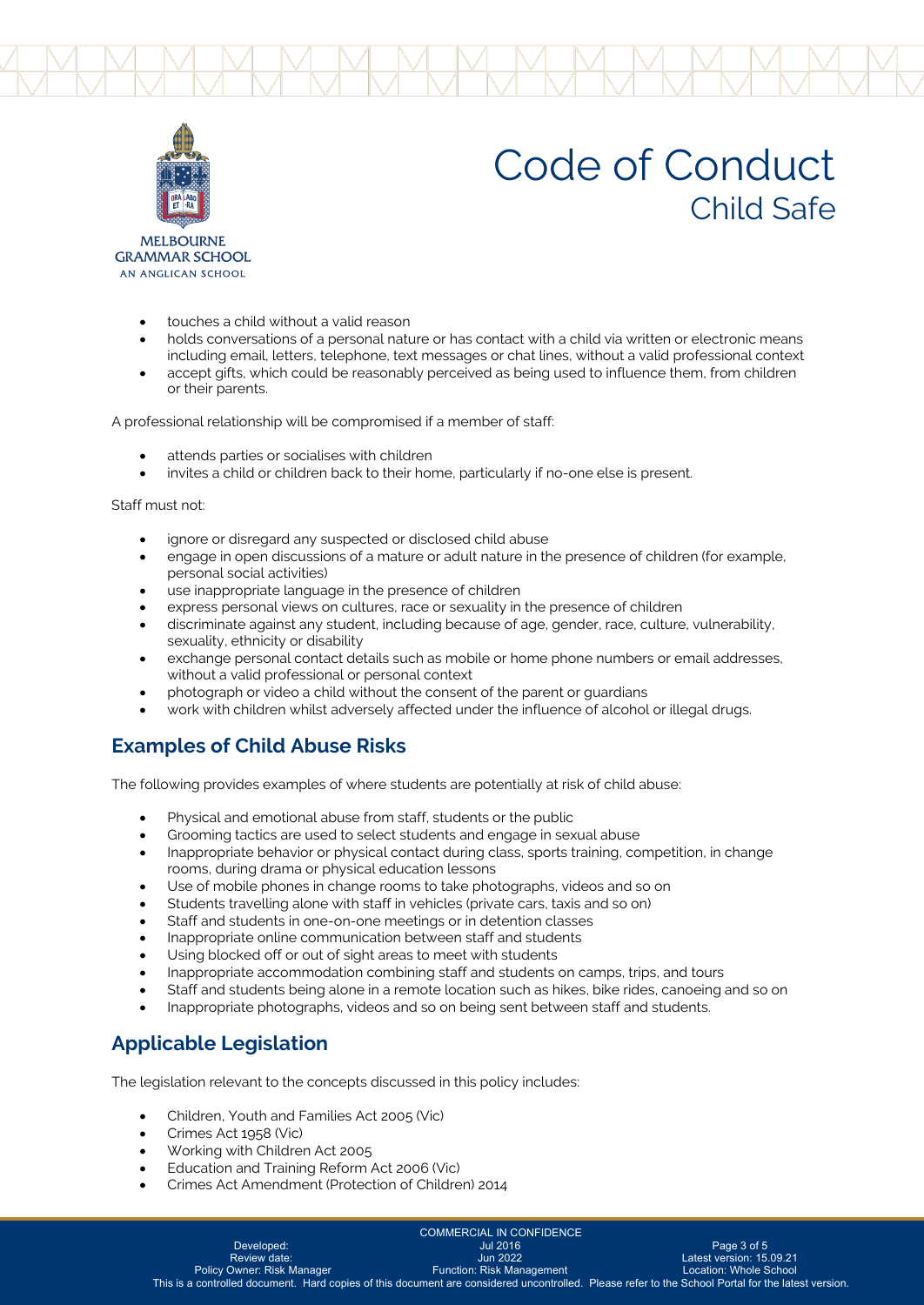



# Code of Conduct Child Safe

**MEI BOLIRNE GRAMMAR SCHOOL** AN ANGLICAN SCHOOL

- touches a child without a valid reason
- holds conversations of a personal nature or has contact with a child via written or electronic means including email, letters, telephone, text messages or chat lines, without a valid professional context
- accept gifts, which could be reasonably perceived as being used to influence them, from children or their parents.

A professional relationship will be compromised if a member of staff:

- attends parties or socialises with children
- invites a child or children back to their home, particularly if no-one else is present.

Staff must not:

- ignore or disregard any suspected or disclosed child abuse
- engage in open discussions of a mature or adult nature in the presence of children (for example, personal social activities)
- use inappropriate language in the presence of children
- express personal views on cultures, race or sexuality in the presence of children
- discriminate against any student, including because of age, gender, race, culture, vulnerability, sexuality, ethnicity or disability
- exchange personal contact details such as mobile or home phone numbers or email addresses, without a valid professional or personal context
- photograph or video a child without the consent of the parent or guardians
- work with children whilst adversely affected under the influence of alcohol or illegal drugs.

## **Examples of Child Abuse Risks**

The following provides examples of where students are potentially at risk of child abuse:

- Physical and emotional abuse from staff, students or the public
- Grooming tactics are used to select students and engage in sexual abuse
- Inappropriate behavior or physical contact during class, sports training, competition, in change rooms, during drama or physical education lessons
- Use of mobile phones in change rooms to take photographs, videos and so on
- Students travelling alone with staff in vehicles (private cars, taxis and so on)
- Staff and students in one-on-one meetings or in detention classes
- Inappropriate online communication between staff and students
- Using blocked off or out of sight areas to meet with students
- Inappropriate accommodation combining staff and students on camps, trips, and tours
- Staff and students being alone in a remote location such as hikes, bike rides, canoeing and so on
- Inappropriate photographs, videos and so on being sent between staff and students.

## **Applicable Legislation**

The legislation relevant to the concepts discussed in this policy includes:

- Children, Youth and Families Act 2005 (Vic)
- Crimes Act 1958 (Vic)
- Working with Children Act 2005
- Education and Training Reform Act 2006 (Vic)
- Crimes Act Amendment (Protection of Children) 2014